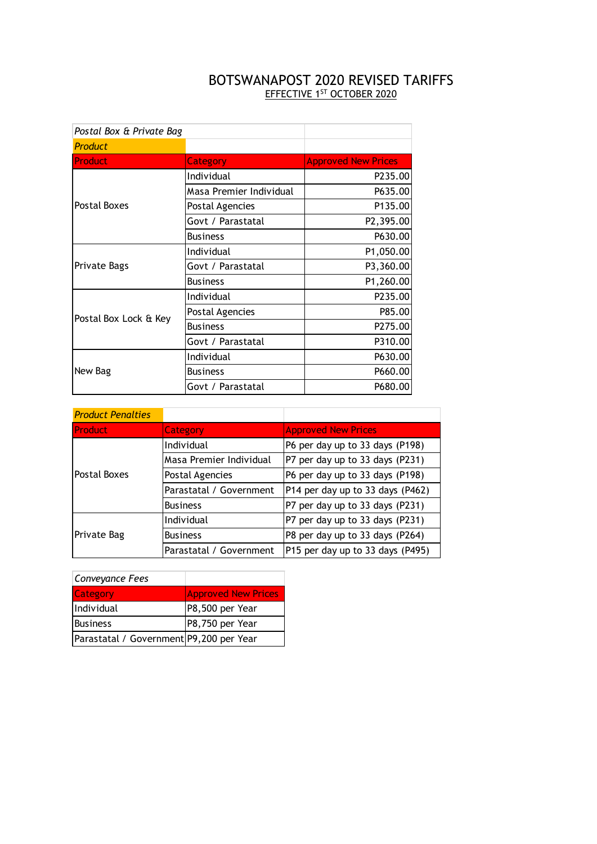## BOTSWANAPOST 2020 REVISED TARIFFS EFFECTIVE 1<sup>ST</sup> OCTOBER 2020

| Postal Box & Private Bag |                         |                            |
|--------------------------|-------------------------|----------------------------|
| <b>Product</b>           |                         |                            |
| <b>Product</b>           | <b>Category</b>         | <b>Approved New Prices</b> |
|                          | Individual              | P235.00                    |
|                          | Masa Premier Individual | P635.00                    |
| Postal Boxes             | Postal Agencies         | P135.00                    |
|                          | Govt / Parastatal       | P2,395.00                  |
|                          | <b>Business</b>         | P630.00                    |
|                          | Individual              | P1,050.00                  |
| Private Bags             | Govt / Parastatal       | P3,360.00                  |
|                          | <b>Business</b>         | P1,260.00                  |
|                          | Individual              | P235.00                    |
| Postal Box Lock & Key    | Postal Agencies         | P85.00                     |
|                          | <b>Business</b>         | P275.00                    |
|                          | Govt / Parastatal       | P310.00                    |
|                          | Individual              | P630.00                    |
| New Bag                  | <b>Business</b>         | P660.00                    |
|                          | Govt / Parastatal       | P680.00                    |

| <b>Product Penalties</b> |                         |                                  |  |  |
|--------------------------|-------------------------|----------------------------------|--|--|
| <b>Product</b>           | Category                | <b>Approved New Prices</b>       |  |  |
|                          | Individual              | P6 per day up to 33 days (P198)  |  |  |
|                          | Masa Premier Individual | P7 per day up to 33 days (P231)  |  |  |
| Postal Boxes             | Postal Agencies         | P6 per day up to 33 days (P198)  |  |  |
|                          | Parastatal / Government | P14 per day up to 33 days (P462) |  |  |
|                          | <b>Business</b>         | P7 per day up to 33 days (P231)  |  |  |
|                          | Individual              | P7 per day up to 33 days (P231)  |  |  |
| Private Bag              | <b>Business</b>         | P8 per day up to 33 days (P264)  |  |  |
|                          | Parastatal / Government | P15 per day up to 33 days (P495) |  |  |

| Conveyance Fees                         |                            |
|-----------------------------------------|----------------------------|
| <b>Category</b>                         | <b>Approved New Prices</b> |
| Individual                              | P8,500 per Year            |
| <b>Business</b>                         | P8,750 per Year            |
| Parastatal / Government P9,200 per Year |                            |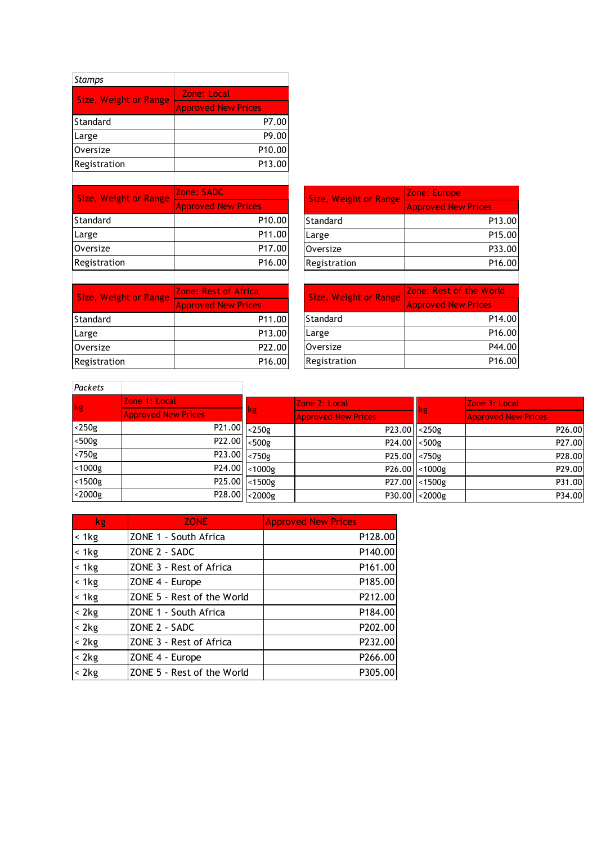| <b>Stamps</b>                |                            |                              |                            |
|------------------------------|----------------------------|------------------------------|----------------------------|
| <b>Size, Weight or Range</b> | Zone: Local                |                              |                            |
|                              | <b>Approved New Prices</b> |                              |                            |
| Standard                     | P7.00                      |                              |                            |
| Large                        | P9.00                      |                              |                            |
| <b>Oversize</b>              | P10.00                     |                              |                            |
| Registration                 | P13.00                     |                              |                            |
|                              |                            |                              |                            |
| <b>Size, Weight or Range</b> | Zone: SADC                 | <b>Size, Weight or Range</b> | Zone: Europe               |
|                              | <b>Approved New Prices</b> |                              | <b>Approved New Prices</b> |
| Standard                     | P10.00                     | Standard                     | P13.00                     |
| Large                        | P11.00                     | Large                        | P15.00                     |
| Oversize                     | P17.00                     | Oversize                     | P33.00                     |
| Registration                 | P16.00                     | Registration                 | P16.00                     |
|                              |                            |                              |                            |
|                              |                            |                              |                            |

| <b>Size, Weight or Range</b> | Zone: Europe               |  |  |  |  |
|------------------------------|----------------------------|--|--|--|--|
|                              | <b>Approved New Prices</b> |  |  |  |  |
| <b>Standard</b>              | P13.00                     |  |  |  |  |
| Large                        | P15.00                     |  |  |  |  |
| Oversize                     | P33.00                     |  |  |  |  |
| Registration                 | P16.00                     |  |  |  |  |
|                              |                            |  |  |  |  |

| Size, Weight or Range | Zone: Rest of Africa       |  |  |
|-----------------------|----------------------------|--|--|
|                       | <b>Approved New Prices</b> |  |  |
| Standard              | P11.00                     |  |  |
| Large                 | P13.00                     |  |  |
| Oversize              | P22.00                     |  |  |
| Registration          | P16.00                     |  |  |

| <b>Size, Weight or Range</b> | Zone: Rest of the World    |
|------------------------------|----------------------------|
|                              | <b>Approved New Prices</b> |
| Standard                     | P <sub>14.00</sub>         |
| Large                        | P <sub>16.00</sub>         |
| Oversize                     | P44.00                     |
| Registration                 | P <sub>16.00</sub>         |

| Packets   |                               |               |                            |                 |                            |  |
|-----------|-------------------------------|---------------|----------------------------|-----------------|----------------------------|--|
| kg        | Zone 1: Local                 |               | Zone 2: Local              |                 | Zone 3: Local              |  |
|           | <b>Approved New Prices</b>    | <b>kg</b>     | <b>Approved New Prices</b> | <b>kg</b>       | <b>Approved New Prices</b> |  |
| $<$ 250g  | $P21.00$ $\sqrt{\sqrt{250g}}$ |               | $P23.00$ $ $ < 250g        |                 | P26.00                     |  |
| $<$ 500g  | P22.00                        | $<$ 500g      | $P24.00$ $ $ < 500g        |                 | P27.00                     |  |
| $< 750$ g | $P23.00$ <750g                |               | P25.00 <750g               |                 | P28.00                     |  |
| $<$ 1000g |                               | P24.00 <1000g |                            | P26.00 <1000g   | P29.00                     |  |
| $<$ 1500g |                               | P25.00 <1500g |                            | P27.00 <1500g   | P31.00                     |  |
| $<$ 2000g |                               | P28.00 <2000g |                            | $P30.00$ <2000g | P34.00                     |  |

| kg       | <b>ZONE</b>                | <b>Approved New Prices</b> |
|----------|----------------------------|----------------------------|
| < 1kg    | ZONE 1 - South Africa      | P <sub>128.00</sub>        |
| $< 1$ kg | ZONE 2 - SADC              | P <sub>140.00</sub>        |
| $< 1$ kg | ZONE 3 - Rest of Africa    | P <sub>161.00</sub>        |
| $< 1$ kg | ZONE 4 - Europe            | P <sub>185.00</sub>        |
| $< 1$ kg | ZONE 5 - Rest of the World | P212.00                    |
| < 2kg    | ZONE 1 - South Africa      | P184.00                    |
| < 2kg    | ZONE 2 - SADC              | P202.00                    |
| < 2kg    | ZONE 3 - Rest of Africa    | P232.00                    |
| < 2kg    | ZONE 4 - Europe            | P266.00                    |
| < 2kg    | ZONE 5 - Rest of the World | P305.00                    |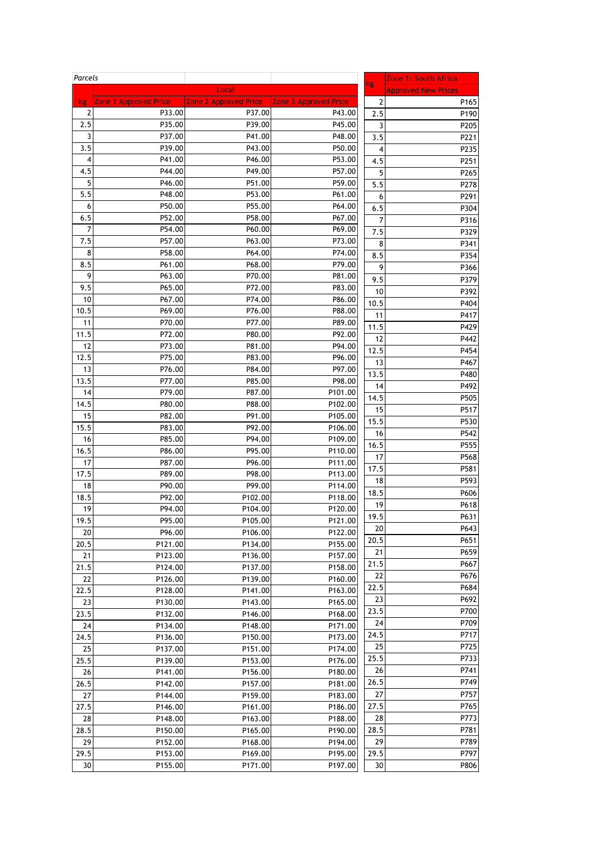| Parcels                 |                       |                       |                       | kg   | Zone 1: South Africa       |
|-------------------------|-----------------------|-----------------------|-----------------------|------|----------------------------|
|                         |                       | Local                 |                       |      | <b>Approved New Prices</b> |
| kg                      | Zone 1 Approved Price | Zone 2 Approved Price | Zone 3 Approved Price | 2    | P165                       |
| 2                       | P33.00                | P37.00                | P43.00                | 2.5  | P190                       |
| 2.5                     | P35.00                | P39.00                | P45.00                | 3    | P205                       |
| 3                       | P37.00                | P41.00                | P48.00                | 3.5  | P221                       |
| 3.5                     | P39.00                | P43.00                | P50.00                | 4    | P235                       |
| $\overline{\mathbf{4}}$ | P41.00                | P46.00                | P53.00                | 4.5  | P251                       |
| 4.5                     | P44.00                | P49.00                | P57.00                | 5    | P265                       |
| 5                       | P46.00                | P51.00                | P59.00                | 5.5  | P278                       |
| 5.5                     | P48.00                | P53.00                | P61.00                | 6    | P291                       |
| 6                       | P50.00                | P55.00                | P64.00                | 6.5  | P304                       |
| 6.5                     | P52.00                | P58.00                | P67.00                | 7    | P316                       |
| 7                       | P54.00                | P60.00                | P69.00                | 7.5  | P329                       |
| 7.5                     | P57.00                | P63.00                | P73.00                | 8    | P341                       |
| 8                       | P58.00                | P64.00                | P74.00                | 8.5  | P354                       |
| 8.5                     | P61.00                | P68.00                | P79.00                | 9    | P366                       |
| 9                       | P63.00                | P70.00                | P81.00                | 9.5  | P379                       |
| 9.5                     | P65.00                | P72.00                | P83.00                | 10   | P392                       |
| 10                      | P67.00                | P74.00                | P86.00                | 10.5 | P404                       |
| 10.5                    | P69.00                | P76.00                | P88.00                | 11   | P417                       |
| 11                      | P70.00                | P77.00                | P89.00                | 11.5 | P429                       |
| 11.5                    | P72.00                | P80.00                | P92.00                | 12   | P442                       |
| 12                      | P73.00                | P81.00                | P94.00                | 12.5 | P454                       |
| 12.5                    | P75.00                | P83.00                | P96.00                | 13   | P467                       |
| 13                      | P76.00                | P84.00                | P97.00                | 13.5 | P480                       |
| 13.5                    | P77.00                | P85.00                | P98.00                | 14   | P492                       |
| 14                      | P79.00                | P87.00                | P101.00               | 14.5 | P505                       |
| 14.5                    | P80.00                | P88.00                | P102.00               | 15   | P517                       |
| 15                      | P82.00                | P91.00                | P105.00               | 15.5 | P530                       |
| 15.5                    | P83.00                | P92.00                | P106.00               | 16   | P542                       |
| 16                      | P85.00                | P94.00                | P109.00               | 16.5 | P555                       |
| 16.5                    | P86.00                | P95.00                | P110.00               | 17   | P568                       |
| 17                      | P87.00                | P96.00                | P111.00               | 17.5 | P581                       |
| 17.5                    | P89.00                | P98.00                | P113.00               | 18   | P593                       |
| 18                      | P90.00                | P99.00                | P114.00               | 18.5 | P606                       |
| 18.5                    | P92.00                | P102.00               | P118.00               | 19   | P618                       |
| 19                      | P94.00                | P104.00               | P120.00               | 19.5 | P631                       |
| 19.5                    | P95.00                | P105.00               | P121.00               | 20   | P643                       |
| 20                      | P96.00                | P106.00               | P122.00               | 20.5 | P651                       |
| 20.5                    | P121.00               | P134.00               | P155.00               | 21   | P659                       |
| 21                      | P123.00               | P136.00               | P157.00               | 21.5 | P667                       |
| 21.5                    | P124.00               | P137.00               | P158.00               | 22   | P676                       |
| 22                      | P126.00               | P139.00               | P160.00               | 22.5 | P684                       |
| 22.5                    | P128.00               | P141.00               | P163.00               | 23   | P692                       |
| 23                      | P130.00               | P143.00               | P165.00               | 23.5 | P700                       |
| 23.5                    | P132.00               | P146.00               | P168.00               | 24   | P709                       |
| 24                      | P134.00               | P148.00               | P171.00               | 24.5 | P717                       |
| 24.5                    | P136.00               | P150.00               | P173.00               | 25   | P725                       |
| 25                      | P137.00               | P151.00               | P174.00               | 25.5 | P733                       |
| 25.5                    | P139.00               | P153.00               | P176.00               | 26   | P741                       |
| 26                      | P141.00               | P156.00               | P180.00               | 26.5 | P749                       |
| 26.5                    | P142.00               | P157.00               | P181.00               | 27   | P757                       |
| 27                      | P144.00               | P159.00               | P183.00               |      |                            |
| 27.5                    | P146.00               | P161.00               | P186.00               | 27.5 | P765                       |
| 28                      | P148.00               | P163.00               | P188.00               | 28   | P773                       |
| 28.5                    | P150.00               | P165.00               | P190.00               | 28.5 | P781                       |
| 29                      | P152.00               | P168.00               | P194.00               | 29   | P789                       |
| 29.5                    | P153.00               | P169.00               | P195.00               | 29.5 | P797                       |
| 30                      | P155.00               | P171.00               | P197.00               | 30   | P806                       |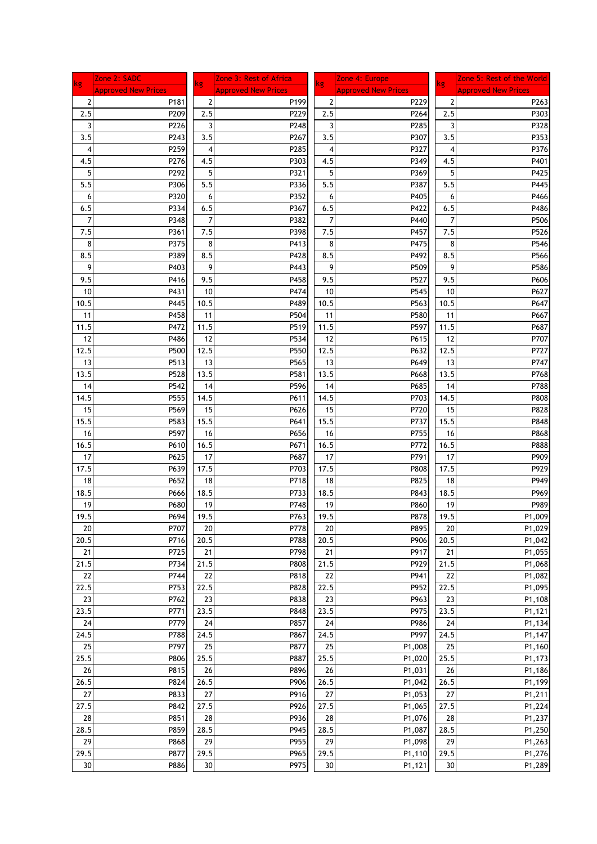| <b>kg</b>      | Zone 2: SADC               | kg             | Zone 3: Rest of Africa     |           | Zone 4: Europe             | kg             | Zone 5: Rest of the World  |
|----------------|----------------------------|----------------|----------------------------|-----------|----------------------------|----------------|----------------------------|
|                | <b>Approved New Prices</b> |                | <b>Approved New Prices</b> | <b>kg</b> | <b>Approved New Prices</b> |                | <b>Approved New Prices</b> |
| $\overline{2}$ | P181                       | $\overline{2}$ | P199                       | 2         | P229                       | $\overline{2}$ | P263                       |
| 2.5            | P209                       | 2.5            | P229                       | 2.5       | P264                       | 2.5            | P303                       |
| 3              | P226                       | 3              | P248                       | 3         | P285                       | 3              | P328                       |
| 3.5            | P243                       | 3.5            | P267                       | 3.5       | P307                       | 3.5            | P353                       |
| 4              | P259                       | 4              | P285                       | 4         | P327                       | 4              | P376                       |
|                | P276                       | 4.5            |                            |           | P349                       | 4.5            | P401                       |
| 4.5            |                            |                | P303                       | 4.5       |                            |                |                            |
| 5              | P292                       | 5              | P321                       | 5         | P369                       | 5              | P425                       |
| 5.5            | P306                       | 5.5            | P336                       | 5.5       | P387                       | 5.5            | P445                       |
| 6              | P320                       | 6              | P352                       | 6         | P405                       | 6              | P466                       |
| 6.5            | P334                       | 6.5            | P367                       | 6.5       | P422                       | 6.5            | P486                       |
| 7              | P348                       | 7              | P382                       | 7         | P440                       | 7              | P506                       |
| 7.5            | P361                       | 7.5            | P398                       | 7.5       | P457                       | 7.5            | P526                       |
| 8              | P375                       | 8              | P413                       | 8         | P475                       | 8              | P546                       |
| 8.5            | P389                       | 8.5            | P428                       | 8.5       | P492                       | 8.5            | P566                       |
| 9              | P403                       | 9              | P443                       | 9         | P509                       | 9              | P586                       |
| 9.5            | P416                       | 9.5            | P458                       | 9.5       | P527                       | 9.5            | P606                       |
| 10             | P431                       | 10             | P474                       | 10        | P545                       | 10             | P627                       |
| 10.5           | P445                       | 10.5           | P489                       | 10.5      | P563                       | 10.5           | P647                       |
|                | P458                       |                | P504                       |           | P580                       |                |                            |
| 11             |                            | 11             |                            | 11        |                            | 11             | P667                       |
| 11.5           | P472                       | 11.5           | P519                       | 11.5      | P597                       | 11.5           | P687                       |
| 12             | P486                       | 12             | P534                       | 12        | P615                       | 12             | P707                       |
| 12.5           | P500                       | 12.5           | P550                       | 12.5      | P632                       | 12.5           | P727                       |
| 13             | P513                       | 13             | P565                       | 13        | P649                       | 13             | P747                       |
| 13.5           | P528                       | 13.5           | P581                       | 13.5      | P668                       | 13.5           | P768                       |
| 14             | P542                       | 14             | P596                       | 14        | P685                       | 14             | P788                       |
| 14.5           | P555                       | 14.5           | P611                       | 14.5      | P703                       | 14.5           | P808                       |
| 15             | P569                       | 15             | P626                       | 15        | P720                       | 15             | P828                       |
| 15.5           | P583                       | 15.5           | P641                       | 15.5      | P737                       | 15.5           | P848                       |
| 16             | P597                       | 16             | P656                       | 16        | P755                       | 16             | P868                       |
| 16.5           | P610                       | 16.5           | P671                       | 16.5      | P772                       | 16.5           | P888                       |
|                | P625                       |                | P687                       |           | P791                       |                |                            |
| 17             |                            | 17             |                            | 17        |                            | 17             | P909                       |
| 17.5           | P639                       | 17.5           | P703                       | 17.5      | P808                       | 17.5           | P929                       |
| 18             | P652                       | 18             | P718                       | 18        | P825                       | 18             | P949                       |
| 18.5           | P666                       | 18.5           | P733                       | 18.5      | P843                       | 18.5           | P969                       |
| 19             | P680                       | 19             | P748                       | 19        | P860                       | 19             | P989                       |
| 19.5           | P694                       | 19.5           | P763                       | 19.5      | P878                       | 19.5           | P1,009                     |
| 20             | P707                       | 20             | P778                       | 20        | P895                       | 20             | P1,029                     |
| 20.5           | P716                       | 20.5           | P788                       | 20.5      | P906                       | 20.5           | P1,042                     |
| 21             | P725                       | 21             | P798                       | 21        | P917                       | 21             | P1,055                     |
| 21.5           | P734                       | 21.5           | P808                       | 21.5      | P929                       | 21.5           | P1,068                     |
| 22             | P744                       | 22             | P818                       | 22        | P941                       | 22             | P1,082                     |
| 22.5           | P753                       | 22.5           | P828                       | 22.5      | P952                       | 22.5           | P1,095                     |
| 23             | P762                       | 23             | P838                       | 23        | P963                       | 23             | P1,108                     |
| 23.5           | P771                       | 23.5           | P848                       | 23.5      | P975                       | 23.5           | P1,121                     |
| 24             | P779                       | 24             | P857                       | 24        | P986                       | 24             | P1,134                     |
|                |                            |                |                            |           |                            |                |                            |
| 24.5           | P788                       | 24.5           | P867                       | 24.5      | P997                       | 24.5           | P1,147                     |
| 25             | P797                       | 25             | P877                       | 25        | P1,008                     | 25             | P1,160                     |
| 25.5           | P806                       | 25.5           | P887                       | 25.5      | P1,020                     | 25.5           | P1,173                     |
| 26             | P815                       | 26             | P896                       | 26        | P1,031                     | 26             | P1,186                     |
| 26.5           | P824                       | 26.5           | P906                       | 26.5      | P1,042                     | 26.5           | P1,199                     |
| 27             | P833                       | 27             | P916                       | 27        | P1,053                     | 27             | P1,211                     |
| 27.5           | P842                       | 27.5           | P926                       | 27.5      | P1,065                     | 27.5           | P1,224                     |
| 28             | P851                       | 28             | P936                       | 28        | P1,076                     | 28             | P1,237                     |
| 28.5           | P859                       | 28.5           | P945                       | 28.5      | P1,087                     | 28.5           | P1,250                     |
| 29             | P868                       | 29             | P955                       | 29        | P1,098                     | 29             | P1,263                     |
| 29.5           | P877                       | 29.5           | P965                       | 29.5      | P1,110                     | 29.5           | P1,276                     |
|                | P886                       |                | P975                       |           |                            |                | P1,289                     |
| $30\,$         |                            | 30             |                            | 30        | P1,121                     | 30             |                            |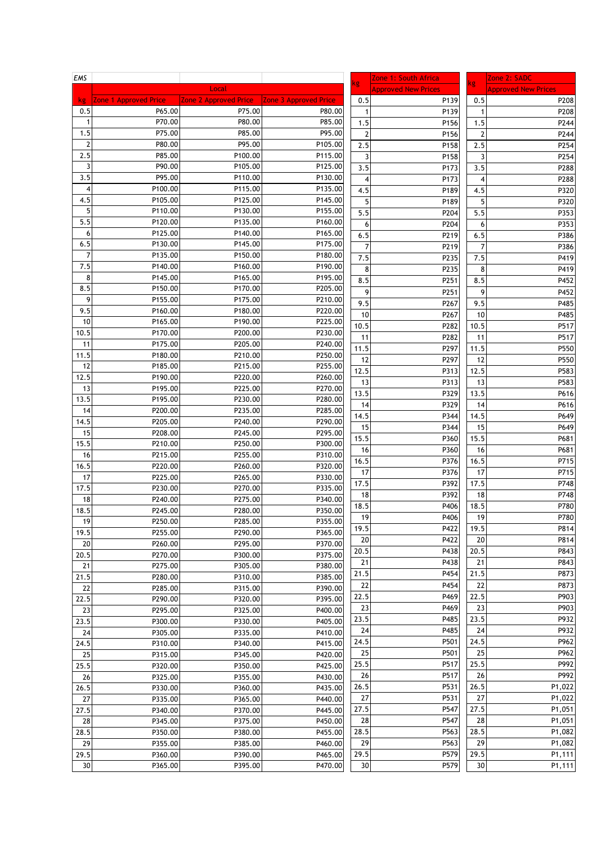| EMS            |                              |                       |                       |                | Zone 1: South Africa       |                | Zone 2: SADC               |
|----------------|------------------------------|-----------------------|-----------------------|----------------|----------------------------|----------------|----------------------------|
|                |                              | Local                 |                       | kg             | <b>Approved New Prices</b> | <b>kg</b>      | <b>Approved New Prices</b> |
| kg             | <b>Zone 1 Approved Price</b> | Zone 2 Approved Price | Zone 3 Approved Price | 0.5            | P139                       | 0.5            | P208                       |
| 0.5            | P65.00                       | P75.00                | P80.00                |                | P139                       | 1              | P208                       |
| $\mathbf{1}$   | P70.00                       | P80.00                | P85.00                | 1.5            | P156                       | 1.5            | P244                       |
| 1.5            | P75.00                       | P85.00                | P95.00                | $\overline{2}$ | P156                       | $\overline{2}$ | P244                       |
| $\overline{2}$ | P80.00                       | P95.00                | P105.00               | 2.5            | P158                       | 2.5            | P254                       |
| 2.5            | P85.00                       | P100.00               | P115.00               | $\overline{3}$ | P158                       | 3              | P254                       |
| 3              | P90.00                       | P105.00               | P125.00               | 3.5            | P173                       | 3.5            | P288                       |
| 3.5            | P95.00                       | P110.00               | P130.00               | 4              | P173                       | 4              | P288                       |
| 4              | P100.00                      | P115.00               | P135.00               | 4.5            | P189                       | 4.5            | P320                       |
| 4.5            | P105.00                      | P125.00               | P145.00               | 5              | P189                       | 5              | P320                       |
| 5              | P110.00                      | P130.00               | P155.00               | 5.5            | P204                       | 5.5            | P353                       |
| 5.5            | P120.00                      | P135.00               | P160.00               | 6              | P204                       | 6              | P353                       |
| 6              | P125.00                      | P140.00               | P165.00               | 6.5            | P219                       | 6.5            | P386                       |
| 6.5            | P130.00                      | P145.00               | P175.00               | $\overline{7}$ | P219                       | 7              | P386                       |
| $\overline{7}$ | P135.00                      | P150.00               | P180.00               | 7.5            | P235                       | 7.5            | P419                       |
| 7.5            | P140.00                      | P160.00               | P190.00               | 8              | P235                       |                |                            |
| 8              | P145.00                      | P165.00               | P195.00               | 8.5            | P251                       | 8              | P419<br>P452               |
| 8.5            | P150.00                      | P170.00               | P205.00               |                |                            | 8.5            |                            |
| 9              | P155.00                      | P175.00               | P210.00               | 9              | P251                       | 9              | P452                       |
| 9.5            | P160.00                      | P180.00               | P220.00               | 9.5            | P267                       | 9.5            | P485                       |
| 10             | P165.00                      | P190.00               | P225.00               | 10             | P267                       | 10             | P485                       |
| 10.5           | P170.00                      | P200.00               | P230.00               | 10.5           | P282                       | 10.5           | P517                       |
| 11             | P175.00                      | P205.00               | P240.00               | 11             | P282                       | 11             | P517                       |
| 11.5           | P180.00                      | P210.00               | P250.00               | 11.5           | P297                       | 11.5           | P550                       |
| 12             | P185.00                      | P215.00               | P255.00               | 12             | P297                       | 12             | P550                       |
| 12.5           | P <sub>190.00</sub>          | P220.00               | P260.00               | 12.5           | P313                       | 12.5           | P583                       |
| 13             | P195.00                      | P225.00               | P270.00               | 13             | P313                       | 13             | P583                       |
| 13.5           | P195.00                      | P230.00               | P280.00               | 13.5           | P329                       | 13.5           | P616                       |
| 14             | P200.00                      | P235.00               | P285.00               | 14             | P329                       | 14             | P616                       |
| 14.5           | P205.00                      | P240.00               | P290.00               | 14.5           | P344                       | 14.5           | P649                       |
| 15             | P208.00                      | P245.00               | P295.00               | 15             | P344                       | 15             | P649                       |
| 15.5           | P210.00                      | P250.00               | P300.00               | 15.5           | P360                       | 15.5           | P681                       |
| 16             | P215.00                      | P255.00               | P310.00               | 16             | P360                       | 16             | P681                       |
| 16.5           | P220.00                      | P260.00               | P320.00               | 16.5           | P376                       | 16.5           | P715                       |
| 17             | P225.00                      | P265.00               | P330.00               | 17             | P376                       | 17             | P715                       |
| 17.5           | P230.00                      | P270.00               | P335.00               | 17.5           | P392                       | 17.5           | P748                       |
| 18             | P240.00                      | P275.00               | P340.00               | 18             | P392                       | 18             | P748                       |
| 18.5           | P245.00                      | P280.00               | P350.00               | 18.5           | P406                       | 18.5           | P780                       |
| 19             | P250.00                      | P285.00               | P355.00               | 19             | P406                       | 19             | P780                       |
| 19.5           | P255.00                      | P290.00               | P365.00               | 19.5           | P422                       | 19.5           | P814                       |
| 20             | P260.00                      | P295.00               | P370.00               | 20             | P422                       | 20             | P814                       |
| 20.5           | P270.00                      | P300.00               | P375.00               | 20.5           | P438                       | 20.5           | P843                       |
| 21             | P275.00                      | P305.00               | P380.00               | 21             | P438                       | 21             | P843                       |
| 21.5           | P280.00                      | P310.00               | P385.00               | 21.5           | P454                       | 21.5           | P873                       |
| 22             | P285.00                      | P315.00               | P390.00               | 22             | P454                       | 22             | P873                       |
| 22.5           | P290.00                      | P320.00               | P395.00               | 22.5           | P469                       | 22.5           | P903                       |
| 23             | P295.00                      | P325.00               | P400.00               | 23             | P469                       | 23             | P903                       |
| 23.5           | P300.00                      | P330.00               | P405.00               | 23.5           | P485                       | 23.5           | P932                       |
| 24             | P305.00                      | P335.00               | P410.00               | 24             | P485                       | 24             | P932                       |
| 24.5           | P310.00                      | P340.00               | P415.00               | 24.5           | P501                       | 24.5           | P962                       |
| 25             | P315.00                      | P345.00               | P420.00               | 25             | P501                       | 25             | P962                       |
| 25.5           | P320.00                      | P350.00               | P425.00               | 25.5           | P517                       | 25.5           | P992                       |
| 26             | P325.00                      | P355.00               | P430.00               | 26             | P517                       | 26             | P992                       |
| 26.5           | P330.00                      | P360.00               | P435.00               | 26.5           | P531                       | 26.5           | P1,022                     |
| 27             | P335.00                      | P365.00               | P440.00               | 27             | P531                       | 27             | P1,022                     |
| 27.5           | P340.00                      | P370.00               | P445.00               | 27.5           | P547                       | 27.5           | P1,051                     |
| 28             | P345.00                      | P375.00               | P450.00               | 28             | P547                       | 28             | P1,051                     |
| 28.5           | P350.00                      | P380.00               | P455.00               | 28.5           | P563                       | 28.5           | P1,082                     |
| 29             | P355.00                      | P385.00               | P460.00               | 29             | P563                       | 29             | P1,082                     |
| 29.5           | P360.00                      | P390.00               | P465.00               | 29.5           | P579                       | 29.5           | P1,111                     |
| 30             | P365.00                      | P395.00               | P470.00               | 30             | P579                       | 30             | P1,111                     |
|                |                              |                       |                       |                |                            |                |                            |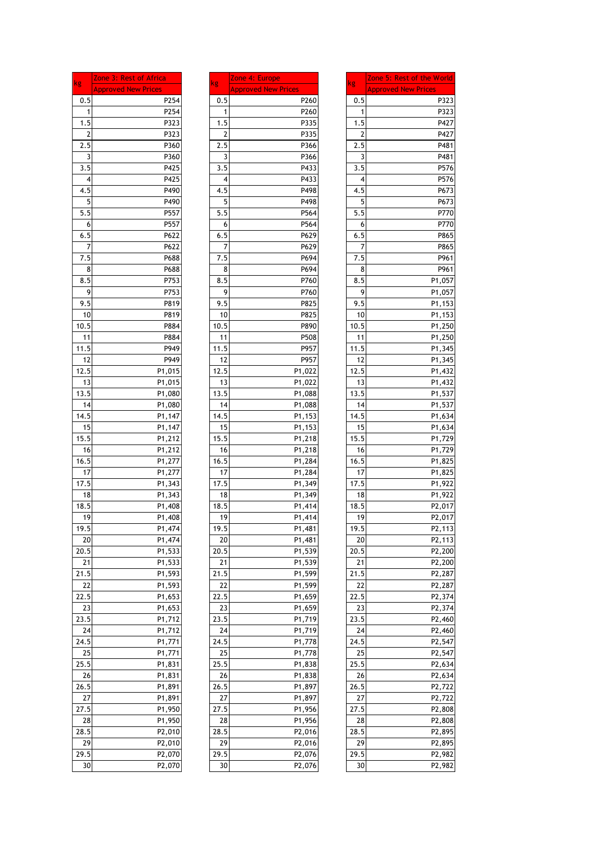| kg         | Zone 3: Rest of Africa<br><b>Approved New Prices</b> | kg         | Zone 4: Europe<br><b>Approved New I</b> |
|------------|------------------------------------------------------|------------|-----------------------------------------|
| 0.5        | P254                                                 | 0.5        |                                         |
| 1          | P254                                                 | 1          |                                         |
| 1.5        | P323                                                 | 1.5        |                                         |
| 2          | P323                                                 | 2          |                                         |
| 2.5        | P360                                                 | 2.5        |                                         |
| 3          | P360                                                 | 3          |                                         |
| 3.5        | P425                                                 | 3.5        |                                         |
| 4          | P425                                                 | 4          |                                         |
| 4.5        | P490                                                 | 4.5        |                                         |
| 5          | P490                                                 | 5          |                                         |
| 5.5        | P557                                                 | 5.5        |                                         |
| 6          | P557                                                 | 6          |                                         |
| 6.5        | P622                                                 | 6.5        |                                         |
| 7          | P622                                                 | 7          |                                         |
| 7.5        | P688                                                 | 7.5        |                                         |
| 8          | P688                                                 | 8          |                                         |
| 8.5        | P753                                                 | 8.5        |                                         |
| 9          | P753                                                 | 9          |                                         |
| 9.5<br>10  | P819<br>P819                                         | 9.5<br>10  |                                         |
| 10.5       | P884                                                 | 10.5       |                                         |
| 11         | P884                                                 | 11         |                                         |
| 11.5       | P949                                                 | 11.5       |                                         |
| 12         | P949                                                 | 12         |                                         |
| 12.5       | P1,015                                               | 12.5       |                                         |
| 13         | P1,015                                               | 13         |                                         |
| 13.5       | P1,080                                               | 13.5       |                                         |
| 14         | P1,080                                               | 14         |                                         |
| 14.5       | P1,147                                               | 14.5       |                                         |
| 15         | P1,147                                               | 15         |                                         |
| 15.5       | P1,212                                               | 15.5       |                                         |
| 16         | P1,212                                               | 16         |                                         |
| 16.5       | P1,277                                               | 16.5       |                                         |
| 17         | P1,277                                               | 17         |                                         |
| 17.5       | P1,343                                               | 17.5       |                                         |
| 18<br>18.5 | P1,343                                               | 18<br>18.5 |                                         |
| 19         | P1,408<br>P1,408                                     | 19         |                                         |
| 19.5       | P1,474                                               | 19.5       |                                         |
| 20         | P1,474                                               | 20         |                                         |
| 20.5       | P1,533                                               | 20.5       |                                         |
| 21         | P1,533                                               | 21         |                                         |
| 21.5       | P1,593                                               | 21.5       |                                         |
| 22         | P1,593                                               | 22         |                                         |
| 22.5       | P1,653                                               | 22.5       |                                         |
| 23         | P1,653                                               | 23         |                                         |
| 23.5       | P1,712                                               | 23.5       |                                         |
| 24         | P1,712                                               | 24         |                                         |
| 24.5       | P1,771                                               | 24.5       |                                         |
| 25         | P1,771                                               | 25         |                                         |
| 25.5       | P1,831                                               | 25.5       |                                         |
| 26         | P1,831                                               | 26         |                                         |
| 26.5       | P1,891                                               | 26.5       |                                         |
| 27         | P1,891                                               | 27         |                                         |
| 27.5       | P1,950                                               | 27.5       |                                         |
| 28<br>28.5 | P1,950<br>P <sub>2</sub> ,010                        | 28<br>28.5 |                                         |
| 29         | P <sub>2</sub> ,010                                  | 29         |                                         |
| 29.5       | P <sub>2</sub> ,070                                  | 29.5       |                                         |
| 30         | P <sub>2</sub> ,070                                  | 30         |                                         |

|          | Zone 4: Europe             |            | Zone 5: Rest of the World  |
|----------|----------------------------|------------|----------------------------|
| kg       | <b>Approved New Prices</b> | kg         | <b>Approved New Prices</b> |
| 0.5      | P260                       | 0.5        | P323                       |
| 1        | P260                       | 1          | P323                       |
|          | P335                       | 1.5        | P427                       |
|          | P335                       | 2          | P427                       |
| 2.5      | P366                       | 2.5        | P481                       |
|          | P366                       | 3          | P481                       |
| 3<br>3.5 | P433                       | 3.5        | P576                       |
|          | P433                       | 4          | P576                       |
|          | P498                       |            |                            |
|          | P498                       | 4.5        | P673                       |
|          |                            | 5<br>5.5   | P673                       |
|          | P564                       |            | P770                       |
|          | P564                       | 6          | P770                       |
|          | P629                       | 6.5        | P865                       |
|          | P629                       | 7          | P865                       |
|          | P694                       | 7.5        | P961                       |
|          | P694                       | 8          | P961                       |
|          | P760                       | 8.5        | P1,057                     |
|          | P760                       | 9          | P1,057                     |
|          | P825                       | 9.5        | P1,153                     |
|          | P825                       | 10         | P1,153                     |
|          | P890                       | 10.5       | P1,250                     |
|          | P508                       | 11         | P1,250                     |
|          | P957                       | 11.5       | P1,345                     |
|          | P957                       | 12         | P1,345                     |
|          | P1,022                     | 12.5       | P1,432                     |
|          | P1,022                     | 13         | P1,432                     |
|          | P1,088                     | 13.5       | P1,537                     |
|          | P1,088                     | 14         | P1,537                     |
|          | P1,153                     | 14.5       | P1,634                     |
|          | P1,153                     | 15         | P1,634                     |
|          | P1,218                     | 15.5       | P <sub>1</sub> ,729        |
|          | P1,218                     | 16         | P1,729                     |
|          | P1,284                     | 16.5       | P1,825                     |
|          | P1,284                     | 17         | P1,825                     |
|          | P1,349                     | 17.5       | P1,922                     |
|          | P1,349                     | 18         | P1,922                     |
|          | P1,414                     | 18.5       | P <sub>2</sub> ,017        |
|          | P1,414                     | 19         | P <sub>2</sub> ,017        |
|          | P1,481                     | 19.5       | P <sub>2</sub> , 113       |
|          | P1,481                     | 20         | P <sub>2</sub> ,113        |
|          | P1,539                     | 20.5       | P <sub>2</sub> ,200        |
|          |                            |            |                            |
|          | P1,539                     | 21<br>21.5 | P <sub>2</sub> ,200        |
|          | P1,599                     |            | P <sub>2</sub> ,287        |
|          | P1,599                     | 22         | P <sub>2</sub> ,287        |
|          | P1,659                     | 22.5       | P <sub>2</sub> ,374        |
|          | P1,659                     | 23         | P <sub>2</sub> ,374        |
|          | P1,719                     | 23.5       | P <sub>2</sub> ,460        |
|          | P1,719                     | 24         | P <sub>2</sub> ,460        |
|          | P1,778                     | 24.5       | P <sub>2</sub> ,547        |
|          | P1,778                     | 25         | P <sub>2</sub> ,547        |
|          | P1,838                     | 25.5       | P2,634                     |
|          | P1,838                     | 26         | P <sub>2</sub> ,634        |
|          | P1,897                     | 26.5       | P <sub>2</sub> ,722        |
|          | P1,897                     | 27         | P <sub>2</sub> ,722        |
|          | P1,956                     | 27.5       | P <sub>2</sub> ,808        |
|          | P1,956                     | 28         | P <sub>2</sub> ,808        |
|          | P2,016                     | 28.5       | P <sub>2</sub> ,895        |
|          | P2,016                     | 29         | P <sub>2</sub> ,895        |
|          | P2,076                     | 29.5       | P2,982                     |
|          | P2,076                     | 30         | P2,982                     |
|          |                            |            |                            |

| kg   | Zone 5: Rest of the World  |
|------|----------------------------|
|      | <b>Approved New Prices</b> |
| 0.5  | P323                       |
| 1    | P323                       |
| 1.5  | P427                       |
| 2    | P427                       |
| 2.5  | P481                       |
| 3    | P481                       |
| 3.5  | P576                       |
| 4    | P576                       |
| 4.5  | P673                       |
| 5    | P673                       |
| 5.5  | P770                       |
| 6    | P770                       |
| 6.5  | P865                       |
| 7    | P865                       |
| 7.5  | P961                       |
| 8    | P961                       |
| 8.5  | P1,057                     |
| 9    | P1,057                     |
| 9.5  | P1,153                     |
| 10   | P1,153                     |
| 10.5 | P1,250                     |
| 11   | P1,250                     |
| 11.5 | P1,345                     |
| 12   | P1,345                     |
| 12.5 | P1,432                     |
| 13   | P1,432                     |
| 13.5 | P1,537                     |
| 14   | P1,537                     |
| 14.5 |                            |
| 15   | P1,634                     |
| 15.5 | P1,634                     |
| 16   | P1,729                     |
|      | P1,729                     |
| 16.5 | P1,825                     |
| 17   | P1,825                     |
| 17.5 | P1,922                     |
| 18   | P1,922                     |
| 18.5 | P2,017                     |
| 19   | P2,017                     |
| 19.5 | P2,113                     |
| 20   | P <sub>2</sub> ,113        |
| 20.5 | P2,200                     |
| 21   | P2,200                     |
| 21.5 | P2,287                     |
| 22   | P2,287                     |
| 22.5 | P2,374                     |
| 23   | P2,374                     |
| 23.5 | P2,460                     |
| 24   | P <sub>2</sub> ,460        |
| 24.5 | P2,547                     |
| 25   | P2,547                     |
| 25.5 | P2,634                     |
| 26   | P2,634                     |
| 26.5 | P2,722                     |
| 27   | P <sub>2</sub> ,722        |
| 27.5 | P2,808                     |
| 28   | P <sub>2</sub> ,808        |
| 28.5 | P2,895                     |
| 29   | P2,895                     |
| 29.5 | P2,982                     |
| 30   | P2,982                     |
|      |                            |